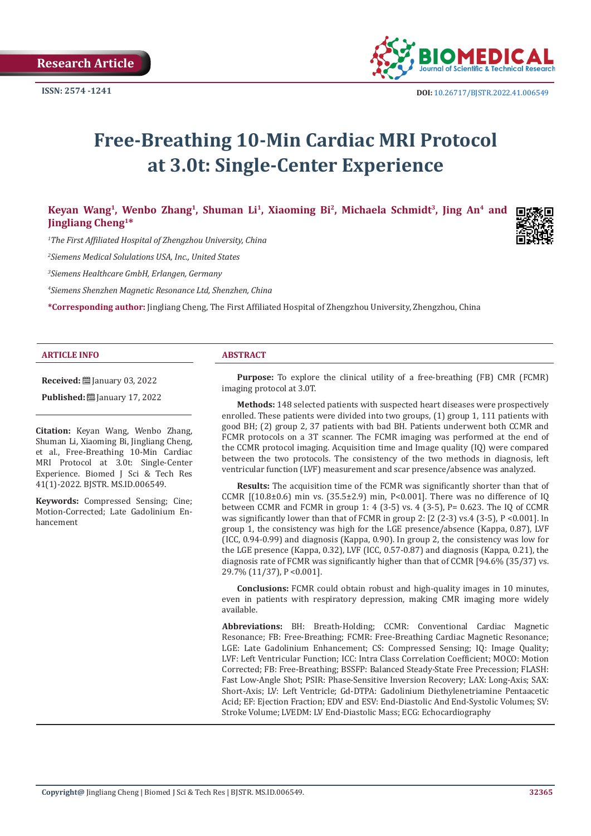

# **Free-Breathing 10-Min Cardiac MRI Protocol at 3.0t: Single-Center Experience**

Keyan Wang<sup>1</sup>, Wenbo Zhang<sup>1</sup>, Shuman Li<sup>1</sup>, Xiaoming Bi<sup>2</sup>, Michaela Schmidt<sup>3</sup>, Jing An<sup>4</sup> and **Jingliang Cheng1\*** 

*1 The First Affiliated Hospital of Zhengzhou University, China*

*2 Siemens Medical Solulations USA, Inc., United States*

*3 Siemens Healthcare GmbH, Erlangen, Germany*

*4 Siemens Shenzhen Magnetic Resonance Ltd, Shenzhen, China*

**\*Corresponding author:** Jingliang Cheng, The First Affiliated Hospital of Zhengzhou University, Zhengzhou, China

#### **ARTICLE INFO ABSTRACT**

**Received:** ■ January 03, 2022

**Published:** [2010] **Published:** [2010] **Published:** [2010] **Published:** [2010] **Published:** [2010] **Published:** [2010] **Published:** [2010] **Published:** [2010] **Published:** [2010] **Published:** [2010] **Published:** [2010]

**Citation:** Keyan Wang, Wenbo Zhang, Shuman Li, Xiaoming Bi, Jingliang Cheng, et al., Free-Breathing 10-Min Cardiac MRI Protocol at 3.0t: Single-Center Experience. Biomed J Sci & Tech Res 41(1)-2022. BJSTR. MS.ID.006549.

**Keywords:** Compressed Sensing; Cine; Motion-Corrected; Late Gadolinium Enhancement

**Purpose:** To explore the clinical utility of a free-breathing (FB) CMR (FCMR) imaging protocol at 3.0T.

**Methods:** 148 selected patients with suspected heart diseases were prospectively enrolled. These patients were divided into two groups, (1) group 1, 111 patients with good BH; (2) group 2, 37 patients with bad BH. Patients underwent both CCMR and FCMR protocols on a 3T scanner. The FCMR imaging was performed at the end of the CCMR protocol imaging. Acquisition time and Image quality (IQ) were compared between the two protocols. The consistency of the two methods in diagnosis, left ventricular function (LVF) measurement and scar presence/absence was analyzed.

**Results:** The acquisition time of the FCMR was significantly shorter than that of CCMR  $[(10.8\pm0.6)$  min vs.  $(35.5\pm2.9)$  min, P<0.001]. There was no difference of IQ between CCMR and FCMR in group 1: 4 (3-5) vs. 4 (3-5), P= 0.623. The IQ of CCMR was significantly lower than that of FCMR in group 2: [2 (2-3) vs.4 (3-5), P <0.001]. In group 1, the consistency was high for the LGE presence/absence (Kappa, 0.87), LVF (ICC, 0.94-0.99) and diagnosis (Kappa, 0.90). In group 2, the consistency was low for the LGE presence (Kappa, 0.32), LVF (ICC, 0.57-0.87) and diagnosis (Kappa, 0.21), the diagnosis rate of FCMR was significantly higher than that of CCMR [94.6% (35/37) vs. 29.7% (11/37), P <0.001].

**Conclusions:** FCMR could obtain robust and high-quality images in 10 minutes, even in patients with respiratory depression, making CMR imaging more widely available.

**Abbreviations:** BH: Breath-Holding; CCMR: Conventional Cardiac Magnetic Resonance; FB: Free-Breathing; FCMR: Free-Breathing Cardiac Magnetic Resonance; LGE: Late Gadolinium Enhancement; CS: Compressed Sensing; IQ: Image Quality; LVF: Left Ventricular Function; ICC: Intra Class Correlation Coefficient; MOCO: Motion Corrected; FB: Free-Breathing; BSSFP: Balanced Steady-State Free Precession; FLASH: Fast Low-Angle Shot; PSIR: Phase-Sensitive Inversion Recovery; LAX: Long-Axis; SAX: Short-Axis; LV: Left Ventricle; Gd-DTPA: Gadolinium Diethylenetriamine Pentaacetic Acid; EF: Ejection Fraction; EDV and ESV: End-Diastolic And End-Systolic Volumes; SV: Stroke Volume; LVEDM: LV End-Diastolic Mass; ECG: Echocardiography

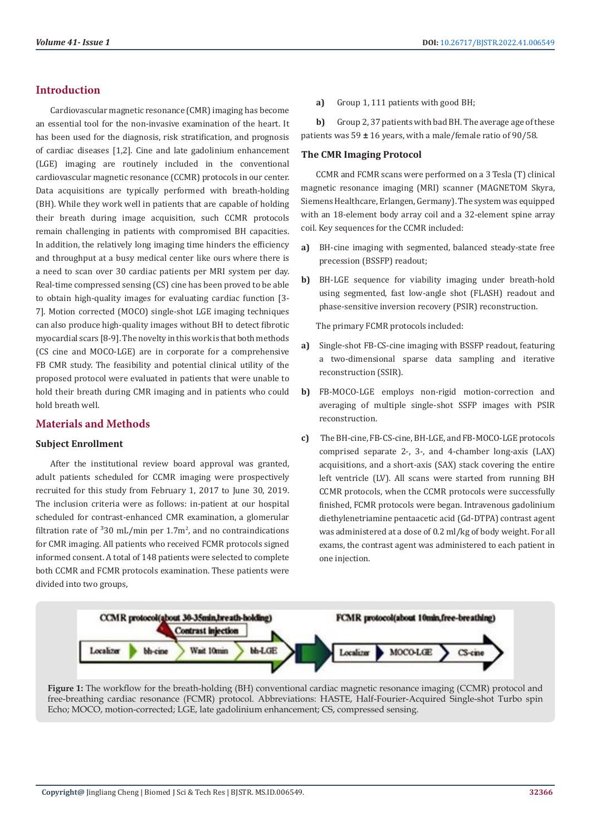# **Introduction**

Cardiovascular magnetic resonance (CMR) imaging has become an essential tool for the non-invasive examination of the heart. It has been used for the diagnosis, risk stratification, and prognosis of cardiac diseases [1,2]. Cine and late gadolinium enhancement (LGE) imaging are routinely included in the conventional cardiovascular magnetic resonance (CCMR) protocols in our center. Data acquisitions are typically performed with breath-holding (BH). While they work well in patients that are capable of holding their breath during image acquisition, such CCMR protocols remain challenging in patients with compromised BH capacities. In addition, the relatively long imaging time hinders the efficiency and throughput at a busy medical center like ours where there is a need to scan over 30 cardiac patients per MRI system per day. Real-time compressed sensing (CS) cine has been proved to be able to obtain high-quality images for evaluating cardiac function [3- 7]. Motion corrected (MOCO) single-shot LGE imaging techniques can also produce high-quality images without BH to detect fibrotic myocardial scars [8-9]. The novelty in this work is that both methods (CS cine and MOCO-LGE) are in corporate for a comprehensive FB CMR study. The feasibility and potential clinical utility of the proposed protocol were evaluated in patients that were unable to hold their breath during CMR imaging and in patients who could hold breath well.

# **Materials and Methods**

### **Subject Enrollment**

After the institutional review board approval was granted, adult patients scheduled for CCMR imaging were prospectively recruited for this study from February 1, 2017 to June 30, 2019. The inclusion criteria were as follows: in-patient at our hospital scheduled for contrast-enhanced CMR examination, a glomerular filtration rate of  $30 \text{ mL/min}$  per 1.7m<sup>2</sup>, and no contraindications for CMR imaging. All patients who received FCMR protocols signed informed consent. A total of 148 patients were selected to complete both CCMR and FCMR protocols examination. These patients were divided into two groups,

**a)** Group 1, 111 patients with good BH;

**b)** Group 2, 37 patients with bad BH. The average age of these patients was 59 **±** 16 years, with a male/female ratio of 90/58.

#### **The CMR Imaging Protocol**

CCMR and FCMR scans were performed on a 3 Tesla (T) clinical magnetic resonance imaging (MRI) scanner (MAGNETOM Skyra, Siemens Healthcare, Erlangen, Germany). The system was equipped with an 18-element body array coil and a 32-element spine array coil. Key sequences for the CCMR included:

- **a)** BH-cine imaging with segmented, balanced steady-state free precession (BSSFP) readout;
- **b)** BH-LGE sequence for viability imaging under breath-hold using segmented, fast low-angle shot (FLASH) readout and phase-sensitive inversion recovery (PSIR) reconstruction.

The primary FCMR protocols included:

- **a)** Single-shot FB-CS-cine imaging with BSSFP readout, featuring a two-dimensional sparse data sampling and iterative reconstruction (SSIR).
- **b)** FB-MOCO-LGE employs non-rigid motion-correction and averaging of multiple single-shot SSFP images with PSIR reconstruction.
- **c)** The BH-cine, FB-CS-cine, BH-LGE, and FB-MOCO-LGE protocols comprised separate 2-, 3-, and 4-chamber long-axis (LAX) acquisitions, and a short-axis (SAX) stack covering the entire left ventricle (LV). All scans were started from running BH CCMR protocols, when the CCMR protocols were successfully finished, FCMR protocols were began. Intravenous gadolinium diethylenetriamine pentaacetic acid (Gd-DTPA) contrast agent was administered at a dose of 0.2 ml/kg of body weight. For all exams, the contrast agent was administered to each patient in one injection.



**Figure 1:** The workflow for the breath-holding (BH) conventional cardiac magnetic resonance imaging (CCMR) protocol and free-breathing cardiac resonance (FCMR) protocol. Abbreviations: HASTE, Half-Fourier-Acquired Single-shot Turbo spin Echo; MOCO, motion-corrected; LGE, late gadolinium enhancement; CS, compressed sensing.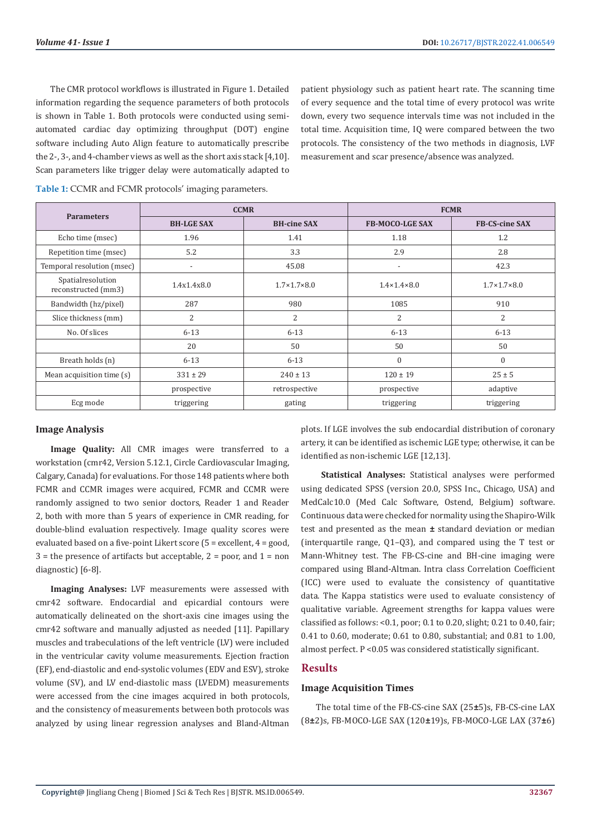The CMR protocol workflows is illustrated in Figure 1. Detailed information regarding the sequence parameters of both protocols is shown in Table 1. Both protocols were conducted using semiautomated cardiac day optimizing throughput (DOT) engine software including Auto Align feature to automatically prescribe the 2-, 3-, and 4-chamber views as well as the short axis stack [4,10]. Scan parameters like trigger delay were automatically adapted to

patient physiology such as patient heart rate. The scanning time of every sequence and the total time of every protocol was write down, every two sequence intervals time was not included in the total time. Acquisition time, IQ were compared between the two protocols. The consistency of the two methods in diagnosis, LVF measurement and scar presence/absence was analyzed.

| <b>Parameters</b>                        | <b>CCMR</b>              |                             | <b>FCMR</b>                 |                             |
|------------------------------------------|--------------------------|-----------------------------|-----------------------------|-----------------------------|
|                                          | <b>BH-LGE SAX</b>        | <b>BH-cine SAX</b>          | <b>FB-MOCO-LGE SAX</b>      | <b>FB-CS-cine SAX</b>       |
| Echo time (msec)                         | 1.96                     | 1.41                        | 1.18                        | 1.2                         |
| Repetition time (msec)                   | 5.2                      | 3.3                         | 2.9                         | 2.8                         |
| Temporal resolution (msec)               | $\overline{\phantom{a}}$ | 45.08                       | $\overline{\phantom{a}}$    | 42.3                        |
| Spatialresolution<br>reconstructed (mm3) | 1.4x1.4x8.0              | $1.7 \times 1.7 \times 8.0$ | $1.4 \times 1.4 \times 8.0$ | $1.7 \times 1.7 \times 8.0$ |
| Bandwidth (hz/pixel)                     | 287                      | 980                         | 1085                        | 910                         |
| Slice thickness (mm)                     | $\overline{2}$           | 2                           | $\overline{2}$              | 2                           |
| No. Of slices                            | $6 - 13$                 | $6 - 13$                    | $6 - 13$                    | $6 - 13$                    |
|                                          | 20                       | 50                          | 50                          | 50                          |
| Breath holds (n)                         | $6 - 13$                 | $6 - 13$                    | $\mathbf{0}$                | $\Omega$                    |
| Mean acquisition time (s)                | $331 \pm 29$             | $240 \pm 13$                | $120 \pm 19$                | $25 \pm 5$                  |
|                                          | prospective              | retrospective               | prospective                 | adaptive                    |
| Ecg mode                                 | triggering               | gating                      | triggering                  | triggering                  |

**Table 1:** CCMR and FCMR protocols' imaging parameters.

#### **Image Analysis**

**Image Quality:** All CMR images were transferred to a workstation (cmr42, Version 5.12.1, Circle Cardiovascular Imaging, Calgary, Canada) for evaluations. For those 148 patients where both FCMR and CCMR images were acquired, FCMR and CCMR were randomly assigned to two senior doctors, Reader 1 and Reader 2, both with more than 5 years of experience in CMR reading, for double-blind evaluation respectively. Image quality scores were evaluated based on a five-point Likert score (5 = excellent, 4 = good,  $3$  = the presence of artifacts but acceptable,  $2$  = poor, and  $1$  = non diagnostic) [6-8].

**Imaging Analyses:** LVF measurements were assessed with cmr42 software. Endocardial and epicardial contours were automatically delineated on the short-axis cine images using the cmr42 software and manually adjusted as needed [11]. Papillary muscles and trabeculations of the left ventricle (LV) were included in the ventricular cavity volume measurements. Ejection fraction (EF), end-diastolic and end-systolic volumes (EDV and ESV), stroke volume (SV), and LV end-diastolic mass (LVEDM) measurements were accessed from the cine images acquired in both protocols, and the consistency of measurements between both protocols was analyzed by using linear regression analyses and Bland-Altman

plots. If LGE involves the sub endocardial distribution of coronary artery, it can be identified as ischemic LGE type; otherwise, it can be identified as non-ischemic LGE [12,13].

 **Statistical Analyses:** Statistical analyses were performed using dedicated SPSS (version 20.0, SPSS Inc., Chicago, USA) and MedCalc10.0 (Med Calc Software, Ostend, Belgium) software. Continuous data were checked for normality using the Shapiro-Wilk test and presented as the mean **±** standard deviation or median (interquartile range, Q1–Q3), and compared using the T test or Mann-Whitney test. The FB-CS-cine and BH-cine imaging were compared using Bland-Altman. Intra class Correlation Coefficient (ICC) were used to evaluate the consistency of quantitative data. The Kappa statistics were used to evaluate consistency of qualitative variable. Agreement strengths for kappa values were classified as follows: <0.1, poor;  $0.1$  to  $0.20$ , slight;  $0.21$  to  $0.40$ , fair; 0.41 to 0.60, moderate; 0.61 to 0.80, substantial; and 0.81 to 1.00, almost perfect. P <0.05 was considered statistically significant.

# **Results**

#### **Image Acquisition Times**

The total time of the FB-CS-cine SAX (25**±**5)s, FB-CS-cine LAX (8**±**2)s, FB-MOCO-LGE SAX (120**±**19)s, FB-MOCO-LGE LAX (37**±**6)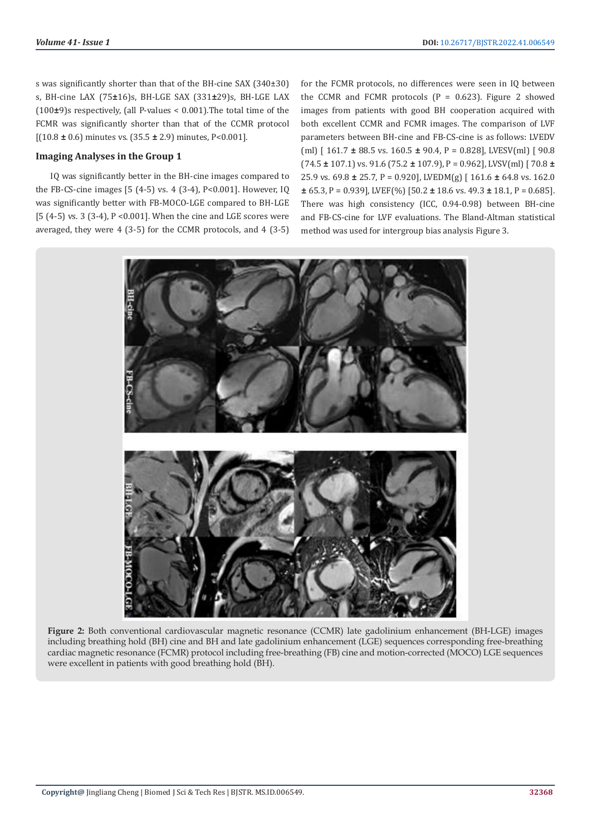s was significantly shorter than that of the BH-cine SAX (340±30) s, BH-cine LAX (75**±**16)s, BH-LGE SAX (331**±**29)s, BH-LGE LAX (100**±**9)s respectively, (all P-values < 0.001).The total time of the FCMR was significantly shorter than that of the CCMR protocol [(10.8 **±** 0.6) minutes vs. (35.5 **±** 2.9) minutes, P<0.001].

### **Imaging Analyses in the Group 1**

IQ was significantly better in the BH-cine images compared to the FB-CS-cine images [5 (4-5) vs. 4 (3-4), P<0.001]. However, IQ was significantly better with FB-MOCO-LGE compared to BH-LGE [5 (4-5) vs. 3 (3-4), P <0.001]. When the cine and LGE scores were averaged, they were 4 (3-5) for the CCMR protocols, and 4 (3-5) for the FCMR protocols, no differences were seen in IQ between the CCMR and FCMR protocols  $(P = 0.623)$ . Figure 2 showed images from patients with good BH cooperation acquired with both excellent CCMR and FCMR images. The comparison of LVF parameters between BH-cine and FB-CS-cine is as follows: LVEDV (ml) [ 161.7 **±** 88.5 vs. 160.5 **±** 90.4, P = 0.828], LVESV(ml) [ 90.8 (74.5 **±** 107.1) vs. 91.6 (75.2 **±** 107.9), P = 0.962], LVSV(ml) [ 70.8 **±**  25.9 vs. 69.8 **±** 25.7, P = 0.920], LVEDM(g) [ 161.6 **±** 64.8 vs. 162.0 **±** 65.3, P = 0.939], LVEF(%) [50.2 **±** 18.6 vs. 49.3 **±** 18.1, P = 0.685]. There was high consistency (ICC, 0.94-0.98) between BH-cine and FB-CS-cine for LVF evaluations. The Bland-Altman statistical method was used for intergroup bias analysis Figure 3.



**Figure 2:** Both conventional cardiovascular magnetic resonance (CCMR) late gadolinium enhancement (BH-LGE) images including breathing hold (BH) cine and BH and late gadolinium enhancement (LGE) sequences corresponding free-breathing cardiac magnetic resonance (FCMR) protocol including free-breathing (FB) cine and motion-corrected (MOCO) LGE sequences were excellent in patients with good breathing hold (BH).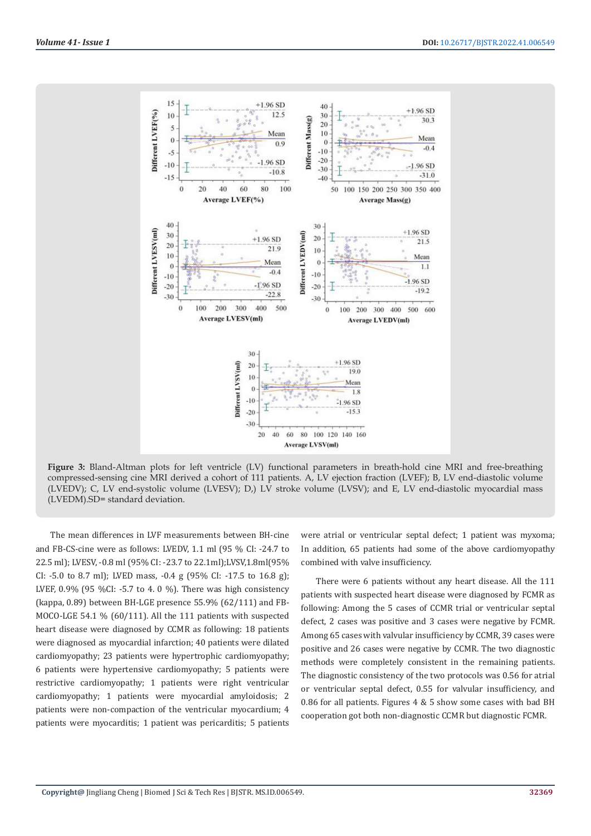

**Figure 3:** Bland-Altman plots for left ventricle (LV) functional parameters in breath-hold cine MRI and free-breathing compressed-sensing cine MRI derived a cohort of 111 patients. A, LV ejection fraction (LVEF); B, LV end-diastolic volume (LVEDV); C, LV end-systolic volume (LVESV); D,) LV stroke volume (LVSV); and E, LV end-diastolic myocardial mass (LVEDM).SD= standard deviation.

The mean differences in LVF measurements between BH-cine and FB-CS-cine were as follows: LVEDV, 1.1 ml (95 % CI: -24.7 to 22.5 ml); LVESV, -0.8 ml (95% CI: -23.7 to 22.1ml);LVSV,1.8ml(95% CI: -5.0 to 8.7 ml); LVED mass, -0.4 g (95% CI: -17.5 to 16.8 g); LVEF, 0.9% (95 %CI: -5.7 to 4. 0 %). There was high consistency (kappa, 0.89) between BH-LGE presence 55.9% (62/111) and FB-MOCO-LGE 54.1 % (60/111). All the 111 patients with suspected heart disease were diagnosed by CCMR as following: 18 patients were diagnosed as myocardial infarction; 40 patients were dilated cardiomyopathy; 23 patients were hypertrophic cardiomyopathy; 6 patients were hypertensive cardiomyopathy; 5 patients were restrictive cardiomyopathy; 1 patients were right ventricular cardiomyopathy; 1 patients were myocardial amyloidosis; 2 patients were non-compaction of the ventricular myocardium; 4 patients were myocarditis; 1 patient was pericarditis; 5 patients

were atrial or ventricular septal defect; 1 patient was myxoma; In addition, 65 patients had some of the above cardiomyopathy combined with valve insufficiency.

There were 6 patients without any heart disease. All the 111 patients with suspected heart disease were diagnosed by FCMR as following: Among the 5 cases of CCMR trial or ventricular septal defect, 2 cases was positive and 3 cases were negative by FCMR. Among 65 cases with valvular insufficiency by CCMR, 39 cases were positive and 26 cases were negative by CCMR. The two diagnostic methods were completely consistent in the remaining patients. The diagnostic consistency of the two protocols was 0.56 for atrial or ventricular septal defect, 0.55 for valvular insufficiency, and 0.86 for all patients. Figures 4 & 5 show some cases with bad BH cooperation got both non-diagnostic CCMR but diagnostic FCMR.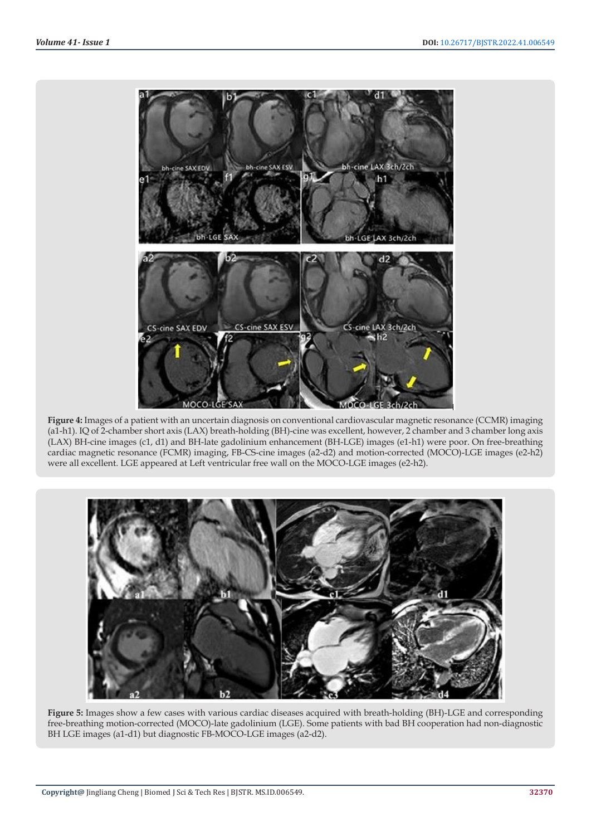

**Figure 4:** Images of a patient with an uncertain diagnosis on conventional cardiovascular magnetic resonance (CCMR) imaging (a1-h1). IQ of 2-chamber short axis (LAX) breath-holding (BH)-cine was excellent, however, 2 chamber and 3 chamber long axis (LAX) BH-cine images (c1, d1) and BH-late gadolinium enhancement (BH-LGE) images (e1-h1) were poor. On free-breathing cardiac magnetic resonance (FCMR) imaging, FB-CS-cine images (a2-d2) and motion-corrected (MOCO)-LGE images (e2-h2) were all excellent. LGE appeared at Left ventricular free wall on the MOCO-LGE images (e2-h2).



**Figure 5:** Images show a few cases with various cardiac diseases acquired with breath-holding (BH)-LGE and corresponding free-breathing motion-corrected (MOCO)-late gadolinium (LGE). Some patients with bad BH cooperation had non-diagnostic BH LGE images (a1-d1) but diagnostic FB-MOCO-LGE images (a2-d2).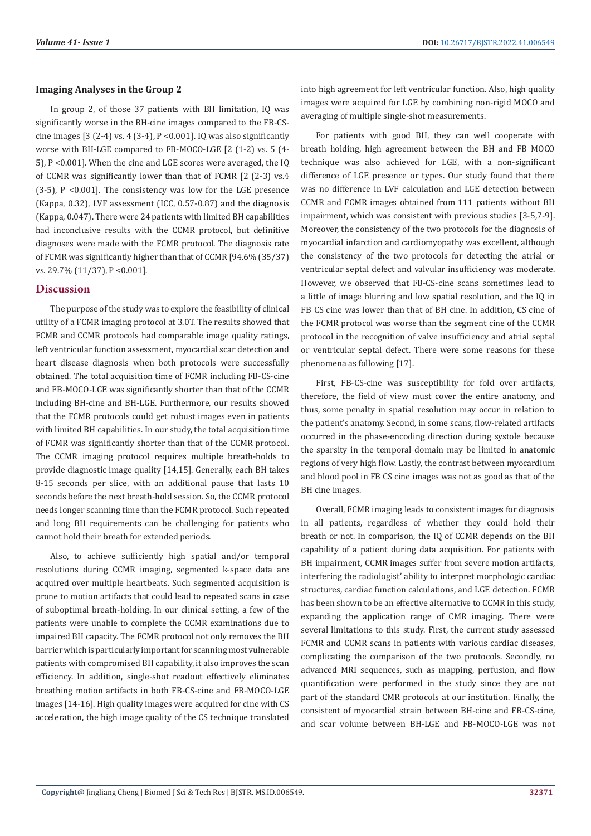# **Imaging Analyses in the Group 2**

In group 2, of those 37 patients with BH limitation, IQ was significantly worse in the BH-cine images compared to the FB-CScine images  $[3 (2-4)$  vs. 4  $(3-4)$ ,  $P \le 0.001$ ]. IQ was also significantly worse with BH-LGE compared to FB-MOCO-LGE [2 (1-2) vs. 5 (4- 5), P <0.001]. When the cine and LGE scores were averaged, the IQ of CCMR was significantly lower than that of FCMR [2 (2-3) vs.4 (3-5), P <0.001]. The consistency was low for the LGE presence (Kappa, 0.32), LVF assessment (ICC, 0.57-0.87) and the diagnosis (Kappa, 0.047). There were 24 patients with limited BH capabilities had inconclusive results with the CCMR protocol, but definitive diagnoses were made with the FCMR protocol. The diagnosis rate of FCMR was significantly higher than that of CCMR [94.6% (35/37) vs. 29.7% (11/37), P <0.001].

# **Discussion**

The purpose of the study was to explore the feasibility of clinical utility of a FCMR imaging protocol at 3.0T. The results showed that FCMR and CCMR protocols had comparable image quality ratings, left ventricular function assessment, myocardial scar detection and heart disease diagnosis when both protocols were successfully obtained. The total acquisition time of FCMR including FB-CS-cine and FB-MOCO-LGE was significantly shorter than that of the CCMR including BH-cine and BH-LGE. Furthermore, our results showed that the FCMR protocols could get robust images even in patients with limited BH capabilities. In our study, the total acquisition time of FCMR was significantly shorter than that of the CCMR protocol. The CCMR imaging protocol requires multiple breath-holds to provide diagnostic image quality [14,15]. Generally, each BH takes 8-15 seconds per slice, with an additional pause that lasts 10 seconds before the next breath-hold session. So, the CCMR protocol needs longer scanning time than the FCMR protocol. Such repeated and long BH requirements can be challenging for patients who cannot hold their breath for extended periods.

Also, to achieve sufficiently high spatial and/or temporal resolutions during CCMR imaging, segmented k-space data are acquired over multiple heartbeats. Such segmented acquisition is prone to motion artifacts that could lead to repeated scans in case of suboptimal breath-holding. In our clinical setting, a few of the patients were unable to complete the CCMR examinations due to impaired BH capacity. The FCMR protocol not only removes the BH barrier which is particularly important for scanning most vulnerable patients with compromised BH capability, it also improves the scan efficiency. In addition, single-shot readout effectively eliminates breathing motion artifacts in both FB-CS-cine and FB-MOCO-LGE images [14-16]. High quality images were acquired for cine with CS acceleration, the high image quality of the CS technique translated into high agreement for left ventricular function. Also, high quality images were acquired for LGE by combining non-rigid MOCO and averaging of multiple single-shot measurements.

For patients with good BH, they can well cooperate with breath holding, high agreement between the BH and FB MOCO technique was also achieved for LGE, with a non-significant difference of LGE presence or types. Our study found that there was no difference in LVF calculation and LGE detection between CCMR and FCMR images obtained from 111 patients without BH impairment, which was consistent with previous studies [3-5,7-9]. Moreover, the consistency of the two protocols for the diagnosis of myocardial infarction and cardiomyopathy was excellent, although the consistency of the two protocols for detecting the atrial or ventricular septal defect and valvular insufficiency was moderate. However, we observed that FB-CS-cine scans sometimes lead to a little of image blurring and low spatial resolution, and the IQ in FB CS cine was lower than that of BH cine. In addition, CS cine of the FCMR protocol was worse than the segment cine of the CCMR protocol in the recognition of valve insufficiency and atrial septal or ventricular septal defect. There were some reasons for these phenomena as following [17].

First, FB-CS-cine was susceptibility for fold over artifacts, therefore, the field of view must cover the entire anatomy, and thus, some penalty in spatial resolution may occur in relation to the patient's anatomy. Second, in some scans, flow-related artifacts occurred in the phase-encoding direction during systole because the sparsity in the temporal domain may be limited in anatomic regions of very high flow. Lastly, the contrast between myocardium and blood pool in FB CS cine images was not as good as that of the BH cine images.

Overall, FCMR imaging leads to consistent images for diagnosis in all patients, regardless of whether they could hold their breath or not. In comparison, the IQ of CCMR depends on the BH capability of a patient during data acquisition. For patients with BH impairment, CCMR images suffer from severe motion artifacts, interfering the radiologist' ability to interpret morphologic cardiac structures, cardiac function calculations, and LGE detection. FCMR has been shown to be an effective alternative to CCMR in this study, expanding the application range of CMR imaging. There were several limitations to this study. First, the current study assessed FCMR and CCMR scans in patients with various cardiac diseases, complicating the comparison of the two protocols. Secondly, no advanced MRI sequences, such as mapping, perfusion, and flow quantification were performed in the study since they are not part of the standard CMR protocols at our institution. Finally, the consistent of myocardial strain between BH-cine and FB-CS-cine, and scar volume between BH-LGE and FB-MOCO-LGE was not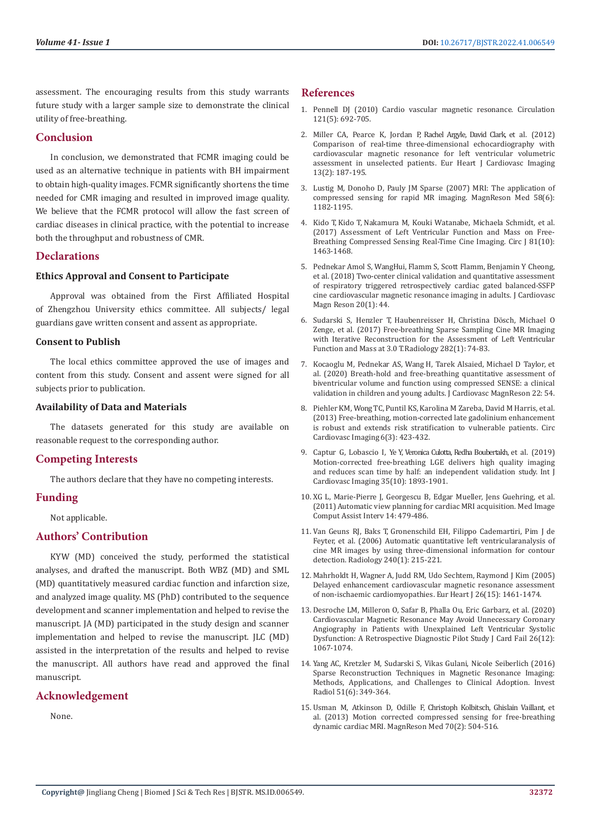assessment. The encouraging results from this study warrants future study with a larger sample size to demonstrate the clinical utility of free-breathing.

# **Conclusion**

In conclusion, we demonstrated that FCMR imaging could be used as an alternative technique in patients with BH impairment to obtain high-quality images. FCMR significantly shortens the time needed for CMR imaging and resulted in improved image quality. We believe that the FCMR protocol will allow the fast screen of cardiac diseases in clinical practice, with the potential to increase both the throughput and robustness of CMR.

# **Declarations**

# **Ethics Approval and Consent to Participate**

Approval was obtained from the First Affiliated Hospital of Zhengzhou University ethics committee. All subjects/ legal guardians gave written consent and assent as appropriate.

### **Consent to Publish**

The local ethics committee approved the use of images and content from this study. Consent and assent were signed for all subjects prior to publication.

# **Availability of Data and Materials**

The datasets generated for this study are available on reasonable request to the corresponding author.

# **Competing Interests**

The authors declare that they have no competing interests.

# **Funding**

Not applicable.

# **Authors' Contribution**

KYW (MD) conceived the study, performed the statistical analyses, and drafted the manuscript. Both WBZ (MD) and SML (MD) quantitatively measured cardiac function and infarction size, and analyzed image quality. MS (PhD) contributed to the sequence development and scanner implementation and helped to revise the manuscript. JA (MD) participated in the study design and scanner implementation and helped to revise the manuscript. JLC (MD) assisted in the interpretation of the results and helped to revise the manuscript. All authors have read and approved the final manuscript.

# **Acknowledgement**

None.

# **References**

- 1. [Pennell DJ \(2010\) Cardio vascular magnetic resonance. Circulation](https://www.ahajournals.org/doi/full/10.1161/circulationaha.108.811547) [121\(5\): 692-705.](https://www.ahajournals.org/doi/full/10.1161/circulationaha.108.811547)
- 2. [Miller CA, Pearce K, Jordan P, Rachel Argyle, David Clark, e](https://academic.oup.com/ehjcimaging/article/13/2/187/2397184)t al. (2012) [Comparison of real-time three-dimensional echocardiography with](https://academic.oup.com/ehjcimaging/article/13/2/187/2397184) [cardiovascular magnetic resonance for left ventricular volumetric](https://academic.oup.com/ehjcimaging/article/13/2/187/2397184) [assessment in unselected patients. Eur Heart J Cardiovasc Imaging](https://academic.oup.com/ehjcimaging/article/13/2/187/2397184) [13\(2\): 187-195.](https://academic.oup.com/ehjcimaging/article/13/2/187/2397184)
- 3. [Lustig M, Donoho D, Pauly JM Sparse \(2007\) MRI: The application of](https://pubmed.ncbi.nlm.nih.gov/17969013/) [compressed sensing for rapid MR imaging. MagnReson Med 58\(6\):](https://pubmed.ncbi.nlm.nih.gov/17969013/) [1182-1195.](https://pubmed.ncbi.nlm.nih.gov/17969013/)
- 4. Kido T, Kido T, [Nakamura M, Kouki Watanabe, Michaela Schmidt, et al.](https://pubmed.ncbi.nlm.nih.gov/28515392/) [\(2017\) Assessment of Left Ventricular Function and Mass on Free-](https://pubmed.ncbi.nlm.nih.gov/28515392/)[Breathing Compressed Sensing Real-Time Cine Imaging. Circ J](https://pubmed.ncbi.nlm.nih.gov/28515392/) 81(10): [1463-1468.](https://pubmed.ncbi.nlm.nih.gov/28515392/)
- 5. [Pednekar Amol S, WangHui, Flamm S, Scott Flamm, Benjamin Y Cheong,](https://pubmed.ncbi.nlm.nih.gov/29950177/) et al. (2018) [Two-center clinical validation and quantitative assessment](https://pubmed.ncbi.nlm.nih.gov/29950177/) [of respiratory triggered retrospectively cardiac gated balanced-SSFP](https://pubmed.ncbi.nlm.nih.gov/29950177/) [cine cardiovascular magnetic resonance imaging in adults. J Cardiovasc](https://pubmed.ncbi.nlm.nih.gov/29950177/) [Magn Reson 20\(1\): 44.](https://pubmed.ncbi.nlm.nih.gov/29950177/)
- 6. Sudarski S, Henzler T, [Haubenreisser H, Christina D](https://pubs.rsna.org/doi/full/10.1148/radiol.2016151002)ösch, Michael O [Zenge, et al. \(2017\) Free-breathing Sparse Sampling Cine MR Imaging](https://pubs.rsna.org/doi/full/10.1148/radiol.2016151002) [with Iterative Reconstruction for the Assessment of Left Ventricular](https://pubs.rsna.org/doi/full/10.1148/radiol.2016151002) [Function and Mass at 3.0](https://pubs.rsna.org/doi/full/10.1148/radiol.2016151002) T. Radiology 282(1): 74-83.
- 7. [Kocaoglu M, Pednekar AS, Wang H, Tarek Alsaied, Michael D Taylor, et](https://jcmr-online.biomedcentral.com/articles/10.1186/s12968-020-00642-y) [al. \(2020\) Breath-hold and free-breathing quantitative assessment of](https://jcmr-online.biomedcentral.com/articles/10.1186/s12968-020-00642-y) [biventricular volume and function using compressed SENSE: a clinical](https://jcmr-online.biomedcentral.com/articles/10.1186/s12968-020-00642-y) [validation in children and young adults. J Cardiovasc MagnReson 22: 54.](https://jcmr-online.biomedcentral.com/articles/10.1186/s12968-020-00642-y)
- 8. Piehler KM, [Wong TC, Puntil KS, Karolina M Zareba, David M Harris, et al.](https://pubmed.ncbi.nlm.nih.gov/23599309/) [\(2013\) Free-breathing, motion-corrected late gadolinium enhancement](https://pubmed.ncbi.nlm.nih.gov/23599309/) [is robust and extends risk stratification to vulnerable patients. Circ](https://pubmed.ncbi.nlm.nih.gov/23599309/) [Cardiovasc Imaging](https://pubmed.ncbi.nlm.nih.gov/23599309/) 6(3): 423-432.
- 9. Captur G, Lobascio I, Ye [Y, Veronica Culotta, Redha Boubertakh,](https://pubmed.ncbi.nlm.nih.gov/31104178/) et al. (2019) [Motion-corrected free-breathing LGE delivers high quality imaging](https://pubmed.ncbi.nlm.nih.gov/31104178/) [and reduces scan time by half: an independent validation study. Int](https://pubmed.ncbi.nlm.nih.gov/31104178/) J [Cardiovasc Imaging 35\(10\):](https://pubmed.ncbi.nlm.nih.gov/31104178/) 1893-1901.
- 10. [XG L, Marie-Pierre J, Georgescu B, Edgar Mueller, Jens Guehring, et al.](https://link.springer.com/chapter/10.1007/978-3-642-23626-6_59) (2011) [Automatic view planning for cardiac MRI acquisition. Med Image](https://link.springer.com/chapter/10.1007/978-3-642-23626-6_59) [Comput Assist Interv](https://link.springer.com/chapter/10.1007/978-3-642-23626-6_59) 14: 479-486.
- 11. Van Geuns RJ, Baks T, [Gronenschild EH, Filippo Cademartiri, Pim J de](https://pubmed.ncbi.nlm.nih.gov/16793980/) [Feyter, et al. \(2006\) Automatic quantitative left ventricularanalysis of](https://pubmed.ncbi.nlm.nih.gov/16793980/) [cine MR images by using three-dimensional information for contour](https://pubmed.ncbi.nlm.nih.gov/16793980/) [detection. Radiology 240\(1\): 215-221.](https://pubmed.ncbi.nlm.nih.gov/16793980/)
- 12. [Mahrholdt H, Wagner A, Judd RM, Udo Sechtem, Raymond J Kim \(2005\)](https://pubmed.ncbi.nlm.nih.gov/15831557/) [Delayed enhancement cardiovascular magnetic resonance assessment](https://pubmed.ncbi.nlm.nih.gov/15831557/) [of non-ischaemic cardiomyopathies. Eur Heart J 26\(15\):](https://pubmed.ncbi.nlm.nih.gov/15831557/) 1461-1474.
- 13. [Desroche LM, Milleron O, Safar B, Phalla Ou, Eric Garbarz, et al. \(2020\)](https://pubmed.ncbi.nlm.nih.gov/32942010/) [Cardiovascular Magnetic Resonance May Avoid Unnecessary Coronary](https://pubmed.ncbi.nlm.nih.gov/32942010/) [Angiography in Patients with Unexplained Left Ventricular Systolic](https://pubmed.ncbi.nlm.nih.gov/32942010/) [Dysfunction: A Retrospective Diagnostic Pilot Study J Card Fail 26\(12\):](https://pubmed.ncbi.nlm.nih.gov/32942010/) [1067-1074.](https://pubmed.ncbi.nlm.nih.gov/32942010/)
- 14. Yang [AC, Kretzler M, Sudarski S, Vikas Gulani, Nicole Seiberlich \(2016\)](https://pubmed.ncbi.nlm.nih.gov/27003227/) [Sparse Reconstruction Techniques in Magnetic Resonance Imaging:](https://pubmed.ncbi.nlm.nih.gov/27003227/) [Methods, Applications, and Challenges to Clinical Adoption. Invest](https://pubmed.ncbi.nlm.nih.gov/27003227/) [Radiol 51\(6\): 349-364.](https://pubmed.ncbi.nlm.nih.gov/27003227/)
- 15. [Usman M, Atkinson D, Odille F, Christoph Kolbitsch, Ghislain Vaillant,](https://pubmed.ncbi.nlm.nih.gov/22899104/) et [al. \(2013\) Motion corrected compressed sensing for free-breathing](https://pubmed.ncbi.nlm.nih.gov/22899104/) [dynamic cardiac MRI. MagnReson Med](https://pubmed.ncbi.nlm.nih.gov/22899104/) 70(2): 504-516.